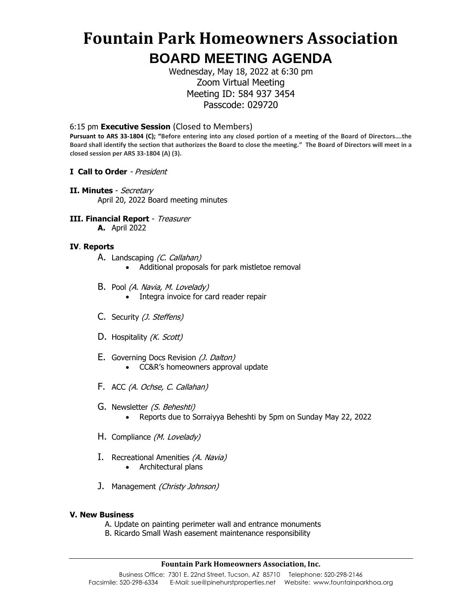# **Fountain Park Homeowners Association BOARD MEETING AGENDA**

Wednesday, May 18, 2022 at 6:30 pm Zoom Virtual Meeting Meeting ID: 584 937 3454 Passcode: 029720

6:15 pm **Executive Session** (Closed to Members)

**Pursuant to ARS 33-1804 (C); "Before entering into any closed portion of a meeting of the Board of Directors….the Board shall identify the section that authorizes the Board to close the meeting." The Board of Directors will meet in a closed session per ARS 33-1804 (A) (3).**

- **I Call to Order**  President
- **II. Minutes**  Secretary April 20, 2022 Board meeting minutes
- **III. Financial Report** Treasurer
	- **A.** April 2022

### **IV**. **Reports**

- A. Landscaping (C. Callahan)
	- Additional proposals for park mistletoe removal
- B. Pool (A. Navia, M. Lovelady)
	- Integra invoice for card reader repair
- C. Security (*J. Steffens*)
- D. Hospitality (K. Scott)
- E. Governing Docs Revision (*J. Dalton*) • CC&R's homeowners approval update
- F. ACC (A. Ochse, C. Callahan)
- G. Newsletter (S. Beheshti) • Reports due to Sorraiyya Beheshti by 5pm on Sunday May 22, 2022
- H. Compliance (M. Lovelady)
- I. Recreational Amenities (A. Navia)
	- Architectural plans
- J. Management *(Christy Johnson)*

#### **V. New Business**

- A. Update on painting perimeter wall and entrance monuments
- B. Ricardo Small Wash easement maintenance responsibility